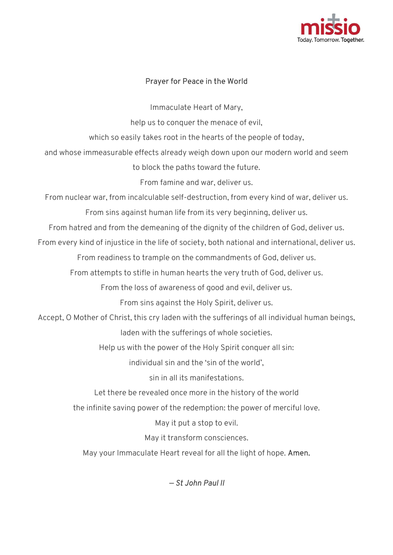

## Prayer for Peace in the World

Immaculate Heart of Mary,

help us to conquer the menace of evil,

which so easily takes root in the hearts of the people of today,

and whose immeasurable effects already weigh down upon our modern world and seem help us to conquer the menace of evil,<br>which so easily takes root in the hearts of the people of today,<br>and whose immeasurable effects already weigh down upon our modern world and seem<br>to block the paths toward the future.

to block the paths toward the future.

From famine and war, deliver us.

From nuclear war, from incalculable self-destruction, from every kind of war, deliver us.

From sins against human life from its very beginning, deliver us.

From hatred and from the demeaning of against human the dignity of the children of God, deliver us.

From every kind of injustice in the life of society, both national and international, deliver us.

From readiness to trample on the commandments of God, deliver us.

ry kind of injustice in the life of society, both national and international, d<br>From readiness to trample on the commandments of God, deliver us.<br>From attempts to stifle in human hearts the very truth of God, deliver us.

From the loss of awareness of good and evil, deliver us.

From sins against the Holy Spirit, deliver us.

Accept, O Mother of Christ, this cry laden with the sufferings of all individual human beings laden with the sufferings of whole societies. the loss of awareness of good and evil, deliver us.<br>From sins against the Holy Spirit, deliver us.<br>rist, this cry laden with the sufferings of all individ<br>laden with the sufferings of whole societies. destruction, from every kind of war, deliver us.<br>from its very beginning, deliver us.<br>if the dignity of the children of God, deliver us.<br>ciety, both national and international, deliver us.<br>ne commandments of God, deliver u

Help us with the power of the Holy Spirit conquer all sin:

individual sin and the 'sin of the world',

sin in all its manifestations.

Let there be revealed once more in the history of the world

Let there be revealed once more in the history of the world<br>the infinite saving power of the redemption: the power of merciful love.

May it put a stop to evil.

May it transform consciences.

I infinite saving power of the redemption: the power of merciful lo<br>May it put a stop to evil.<br>May wour Immaculate Heart reveal for all the light of hope. **Amen.** 

— St John Paul II